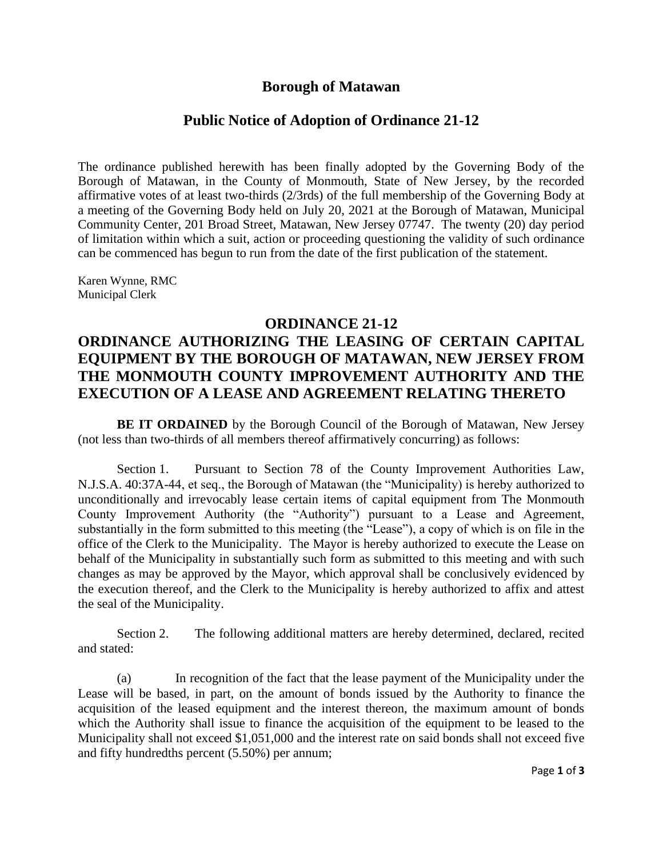### **Borough of Matawan**

## **Public Notice of Adoption of Ordinance 21-12**

The ordinance published herewith has been finally adopted by the Governing Body of the Borough of Matawan, in the County of Monmouth, State of New Jersey, by the recorded affirmative votes of at least two-thirds (2/3rds) of the full membership of the Governing Body at a meeting of the Governing Body held on July 20, 2021 at the Borough of Matawan, Municipal Community Center, 201 Broad Street, Matawan, New Jersey 07747. The twenty (20) day period of limitation within which a suit, action or proceeding questioning the validity of such ordinance can be commenced has begun to run from the date of the first publication of the statement.

Karen Wynne, RMC Municipal Clerk

#### **ORDINANCE 21-12**

# **ORDINANCE AUTHORIZING THE LEASING OF CERTAIN CAPITAL EQUIPMENT BY THE BOROUGH OF MATAWAN, NEW JERSEY FROM THE MONMOUTH COUNTY IMPROVEMENT AUTHORITY AND THE EXECUTION OF A LEASE AND AGREEMENT RELATING THERETO**

**BE IT ORDAINED** by the Borough Council of the Borough of Matawan, New Jersey (not less than two-thirds of all members thereof affirmatively concurring) as follows:

Section 1. Pursuant to Section 78 of the County Improvement Authorities Law, N.J.S.A. 40:37A-44, et seq., the Borough of Matawan (the "Municipality) is hereby authorized to unconditionally and irrevocably lease certain items of capital equipment from The Monmouth County Improvement Authority (the "Authority") pursuant to a Lease and Agreement, substantially in the form submitted to this meeting (the "Lease"), a copy of which is on file in the office of the Clerk to the Municipality. The Mayor is hereby authorized to execute the Lease on behalf of the Municipality in substantially such form as submitted to this meeting and with such changes as may be approved by the Mayor, which approval shall be conclusively evidenced by the execution thereof, and the Clerk to the Municipality is hereby authorized to affix and attest the seal of the Municipality.

Section 2. The following additional matters are hereby determined, declared, recited and stated:

(a) In recognition of the fact that the lease payment of the Municipality under the Lease will be based, in part, on the amount of bonds issued by the Authority to finance the acquisition of the leased equipment and the interest thereon, the maximum amount of bonds which the Authority shall issue to finance the acquisition of the equipment to be leased to the Municipality shall not exceed \$1,051,000 and the interest rate on said bonds shall not exceed five and fifty hundredths percent (5.50%) per annum;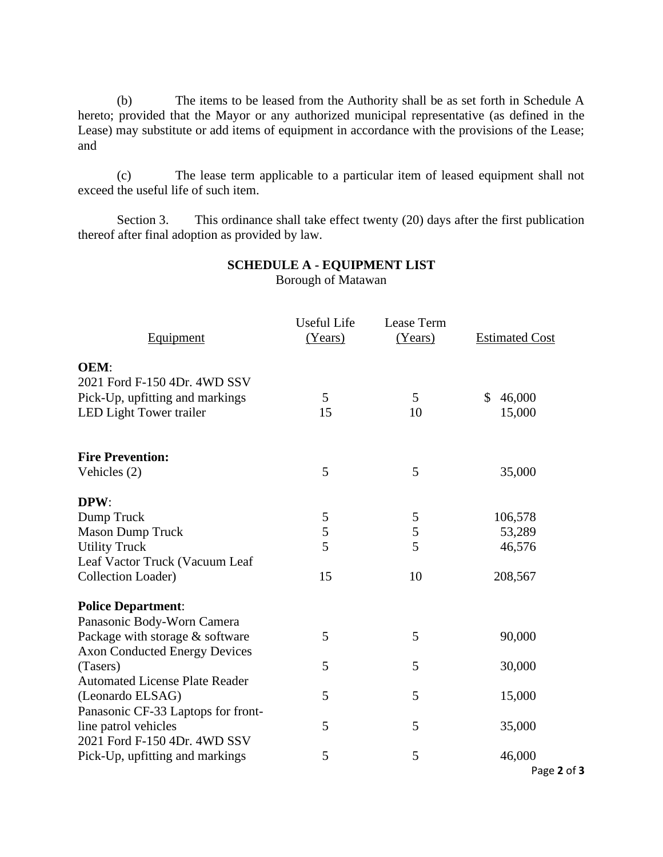(b) The items to be leased from the Authority shall be as set forth in Schedule A hereto; provided that the Mayor or any authorized municipal representative (as defined in the Lease) may substitute or add items of equipment in accordance with the provisions of the Lease; and

(c) The lease term applicable to a particular item of leased equipment shall not exceed the useful life of such item.

Section 3. This ordinance shall take effect twenty (20) days after the first publication thereof after final adoption as provided by law.

|                                       | <b>Useful Life</b> | Lease Term |                       |
|---------------------------------------|--------------------|------------|-----------------------|
| Equipment                             | (Years)            | (Years)    | <b>Estimated Cost</b> |
| <b>OEM:</b>                           |                    |            |                       |
| 2021 Ford F-150 4Dr. 4WD SSV          |                    |            |                       |
| Pick-Up, upfitting and markings       | 5                  | 5          | 46,000<br>\$          |
| <b>LED Light Tower trailer</b>        | 15                 | 10         | 15,000                |
| <b>Fire Prevention:</b>               |                    |            |                       |
| Vehicles (2)                          | 5                  | 5          | 35,000                |
| DPW:                                  |                    |            |                       |
| Dump Truck                            | 5                  | 5          | 106,578               |
| <b>Mason Dump Truck</b>               | 5                  | 5          | 53,289                |
| <b>Utility Truck</b>                  | 5                  | 5          | 46,576                |
| Leaf Vactor Truck (Vacuum Leaf        |                    |            |                       |
| <b>Collection Loader)</b>             | 15                 | 10         | 208,567               |
| <b>Police Department:</b>             |                    |            |                       |
| Panasonic Body-Worn Camera            |                    |            |                       |
| Package with storage & software       | 5                  | 5          | 90,000                |
| <b>Axon Conducted Energy Devices</b>  |                    |            |                       |
| (Tasers)                              | 5                  | 5          | 30,000                |
| <b>Automated License Plate Reader</b> |                    |            |                       |
| (Leonardo ELSAG)                      | 5                  | 5          | 15,000                |
| Panasonic CF-33 Laptops for front-    |                    |            |                       |
| line patrol vehicles                  | 5                  | 5          | 35,000                |
| 2021 Ford F-150 4Dr. 4WD SSV          |                    |            |                       |
| Pick-Up, upfitting and markings       | 5                  | 5          | 46,000                |
|                                       |                    |            | Page 2 of 3           |

#### **SCHEDULE A - EQUIPMENT LIST** Borough of Matawan